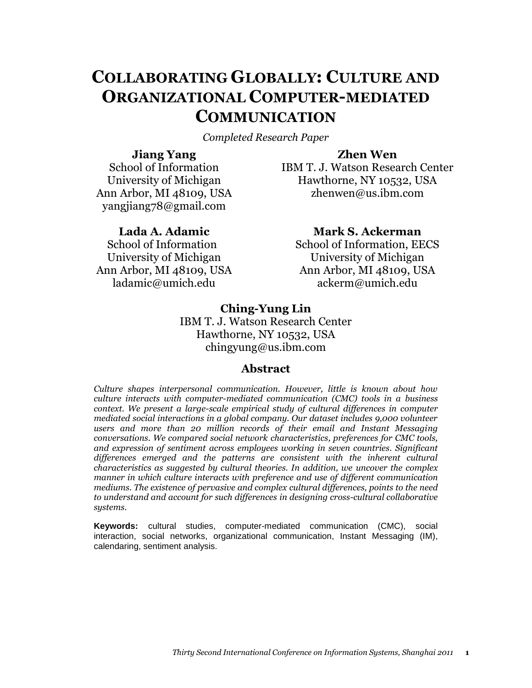# **COLLABORATING GLOBALLY: CULTURE AND ORGANIZATIONAL COMPUTER-MEDIATED COMMUNICATION**

*Completed Research Paper*

## **Jiang Yang**

**Zhen Wen**

School of Information University of Michigan Ann Arbor, MI 48109, USA yangjiang78@gmail.com

## **Lada A. Adamic**

School of Information University of Michigan Ann Arbor, MI 48109, USA ladamic@umich.edu

IBM T. J. Watson Research Center Hawthorne, NY 10532, USA zhenwen@us.ibm.com

## **Mark S. Ackerman**

School of Information, EECS University of Michigan Ann Arbor, MI 48109, USA ackerm@umich.edu

## **Ching-Yung Lin**

IBM T. J. Watson Research Center Hawthorne, NY 10532, USA chingyung@us.ibm.com

## **Abstract**

*Culture shapes interpersonal communication. However, little is known about how culture interacts with computer-mediated communication (CMC) tools in a business context. We present a large-scale empirical study of cultural differences in computer mediated social interactions in a global company. Our dataset includes 9,000 volunteer users and more than 20 million records of their email and Instant Messaging conversations. We compared social network characteristics, preferences for CMC tools, and expression of sentiment across employees working in seven countries. Significant differences emerged and the patterns are consistent with the inherent cultural characteristics as suggested by cultural theories. In addition, we uncover the complex manner in which culture interacts with preference and use of different communication mediums. The existence of pervasive and complex cultural differences, points to the need to understand and account for such differences in designing cross-cultural collaborative systems.*

**Keywords:** cultural studies, computer-mediated communication (CMC), social interaction, social networks, organizational communication, Instant Messaging (IM), calendaring, sentiment analysis.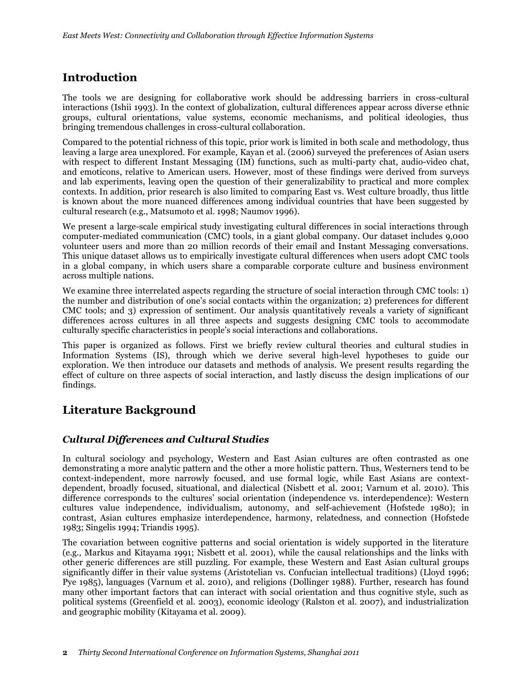## **Introduction**

The tools we are designing for collaborative work should be addressing barriers in cross-cultural interactions [\(Ishii 1993\)](#page-17-0). In the context of globalization, cultural differences appear across diverse ethnic groups, cultural orientations, value systems, economic mechanisms, and political ideologies, thus bringing tremendous challenges in cross-cultural collaboration.

Compared to the potential richness of this topic, prior work is limited in both scale and methodology, thus leaving a large area unexplored. For example, Kayan et al. (2006) surveyed the preferences of Asian users with respect to different Instant Messaging (IM) functions, such as multi-party chat, audio-video chat, and emoticons, relative to American users. However, most of these findings were derived from surveys and lab experiments, leaving open the question of their generalizability to practical and more complex contexts. In addition, prior research is also limited to comparing East vs. West culture broadly, thus little is known about the more nuanced differences among individual countries that have been suggested by cultural research (e.g., [Matsumoto et al. 1998;](#page-17-1) [Naumov 1996\)](#page-17-2).

We present a large-scale empirical study investigating cultural differences in social interactions through computer-mediated communication (CMC) tools, in a giant global company. Our dataset includes 9,000 volunteer users and more than 20 million records of their email and Instant Messaging conversations. This unique dataset allows us to empirically investigate cultural differences when users adopt CMC tools in a global company, in which users share a comparable corporate culture and business environment across multiple nations.

We examine three interrelated aspects regarding the structure of social interaction through CMC tools: 1) the number and distribution of one's social contacts within the organization; 2) preferences for different CMC tools; and 3) expression of sentiment. Our analysis quantitatively reveals a variety of significant differences across cultures in all three aspects and suggests designing CMC tools to accommodate culturally specific characteristics in people's social interactions and collaborations.

This paper is organized as follows. First we briefly review cultural theories and cultural studies in Information Systems (IS), through which we derive several high-level hypotheses to guide our exploration. We then introduce our datasets and methods of analysis. We present results regarding the effect of culture on three aspects of social interaction, and lastly discuss the design implications of our findings.

## **Literature Background**

## *Cultural Differences and Cultural Studies*

In cultural sociology and psychology, Western and East Asian cultures are often contrasted as one demonstrating a more analytic pattern and the other a more holistic pattern. Thus, Westerners tend to be context-independent, more narrowly focused, and use formal logic, while East Asians are contextdependent, broadly focused, situational, and dialectical [\(Nisbett et al. 2001;](#page-18-0) [Varnum et al. 2010\)](#page-18-1). This difference corresponds to the cultures' social orientation (independence vs. interdependence): Western cultures value independence, individualism, autonomy, and self-achievement [\(Hofstede 1980\)](#page-17-3); in contrast, Asian cultures emphasize interdependence, harmony, relatedness, and connection [\(Hofstede](#page-17-4)  [1983;](#page-17-4) [Singelis 1994;](#page-18-2) [Triandis 1995\)](#page-18-3).

The covariation between cognitive patterns and social orientation is widely supported in the literature (e.g., [Markus and Kitayama 1991;](#page-17-5) [Nisbett et al. 2001\)](#page-18-0), while the causal relationships and the links with other generic differences are still puzzling. For example, these Western and East Asian cultural groups significantly differ in their value systems (Aristotelian vs. Confucian intellectual traditions) [\(Lloyd 1996;](#page-17-6) [Pye 1985\)](#page-18-4), languages [\(Varnum et al. 2010\)](#page-18-1), and religions [\(Dollinger 1988\)](#page-17-7). Further, research has found many other important factors that can interact with social orientation and thus cognitive style, such as political systems [\(Greenfield et al. 2003\)](#page-17-8), economic ideology [\(Ralston et al. 2007\)](#page-18-5), and industrialization and geographic mobility [\(Kitayama et al. 2009\)](#page-17-9).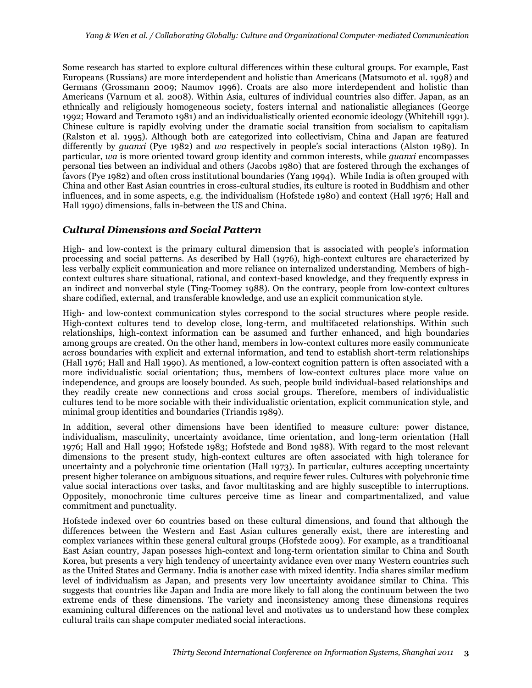Some research has started to explore cultural differences within these cultural groups. For example, East Europeans (Russians) are more interdependent and holistic than Americans [\(Matsumoto et al. 1998\)](#page-17-1) and Germans [\(Grossmann 2009;](#page-17-10) [Naumov 1996\)](#page-17-2). Croats are also more interdependent and holistic than Americans [\(Varnum et al. 2008\)](#page-18-6). Within Asia, cultures of individual countries also differ. Japan, as an ethnically and religiously homogeneous society, fosters internal and nationalistic allegiances [\(George](#page-17-11)  [1992;](#page-17-11) [Howard and Teramoto 1981\)](#page-17-12) and an individualistically oriented economic ideology [\(Whitehill 1991\)](#page-18-7). Chinese culture is rapidly evolving under the dramatic social transition from socialism to capitalism (Ralston [et al. 1995\)](#page-18-8). Although both are categorized into collectivism, China and Japan are featured differently by *guanxi* [\(Pye 1982\)](#page-18-9) and *wa* respectively in people's social interactions [\(Alston 1989\)](#page-17-13). In particular, *wa* is more oriented toward group identity and common interests, while *guanxi* encompasses personal ties between an individual and others [\(Jacobs 1980\)](#page-17-14) that are fostered through the exchanges of favors [\(Pye 1982\)](#page-18-9) and often cross institutional boundaries [\(Yang 1994\)](#page-19-0). While India is often grouped with China and other East Asian countries in cross-cultural studies, its culture is rooted in Buddhism and other influences, and in some aspects, e.g. the individualism [\(Hofstede 1980\)](#page-17-3) and context [\(Hall 1976;](#page-17-15) [Hall and](#page-17-16)  [Hall 1990\)](#page-17-16) dimensions, falls in-between the US and China.

### *Cultural Dimensions and Social Pattern*

High- and low-context is the primary cultural dimension that is associated with people's information processing and social patterns. As described by Hall (1976), high-context cultures are characterized by less verbally explicit communication and more reliance on internalized understanding. Members of highcontext cultures share situational, rational, and context-based knowledge, and they frequently express in an indirect and nonverbal style [\(Ting-Toomey 1988\)](#page-18-10). On the contrary, people from low-context cultures share codified, external, and transferable knowledge, and use an explicit communication style.

High- and low-context communication styles correspond to the social structures where people reside. High-context cultures tend to develop close, long-term, and multifaceted relationships. Within such relationships, high-context information can be assumed and further enhanced, and high boundaries among groups are created. On the other hand, members in low-context cultures more easily communicate across boundaries with explicit and external information, and tend to establish short-term relationships [\(Hall 1976;](#page-17-15) [Hall and Hall 1990\)](#page-17-16). As mentioned, a low-context cognition pattern is often associated with a more individualistic social orientation; thus, members of low-context cultures place more value on independence, and groups are loosely bounded. As such, people build individual-based relationships and they readily create new connections and cross social groups. Therefore, members of individualistic cultures tend to be more sociable with their individualistic orientation, explicit communication style, and minimal group identities and boundaries [\(Triandis 1989\)](#page-18-11).

In addition, several other dimensions have been identified to measure culture: power distance, individualism, masculinity, uncertainty avoidance, time orientation, and long-term orientation [\(Hall](#page-17-15)  [1976;](#page-17-15) [Hall and Hall 1990;](#page-17-16) [Hofstede 1983;](#page-17-4) [Hofstede and Bond 1988\)](#page-17-17). With regard to the most relevant dimensions to the present study, high-context cultures are often associated with high tolerance for uncertainty and a polychronic time orientation [\(Hall 1973\)](#page-17-18). In particular, cultures accepting uncertainty present higher tolerance on ambiguous situations, and require fewer rules. Cultures with polychronic time value social interactions over tasks, and favor multitasking and are highly susceptible to interruptions. Oppositely, monochronic time cultures perceive time as linear and compartmentalized, and value commitment and punctuality.

Hofstede indexed over 60 countries based on these cultural dimensions, and found that although the differences between the Western and East Asian cultures generally exist, there are interesting and complex variances within these general cultural groups [\(Hofstede 2009\)](#page-17-19). For example, as a tranditioanal East Asian country, Japan posesses high-context and long-term orientation similar to China and South Korea, but presents a very high tendency of uncertainty avidance even over many Western countries such as the United States and Germany. India is another case with mixed identity. India shares similar medium level of individualism as Japan, and presents very low uncertainty avoidance similar to China. This suggests that countries like Japan and India are more likely to fall along the continuum between the two extreme ends of these dimensions. The variety and inconsistency among these dimensions requires examining cultural differences on the national level and motivates us to understand how these complex cultural traits can shape computer mediated social interactions.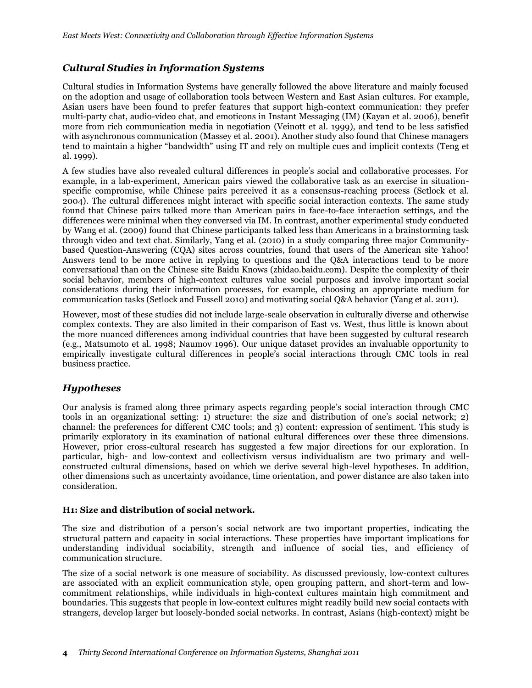## *Cultural Studies in Information Systems*

Cultural studies in Information Systems have generally followed the above literature and mainly focused on the adoption and usage of collaboration tools between Western and East Asian cultures. For example, Asian users have been found to prefer features that support high-context communication: they prefer multi-party chat, audio-video chat, and emoticons in Instant Messaging (IM) [\(Kayan et al. 2006\)](#page-17-20), benefit more from rich communication media in negotiation [\(Veinott et al. 1999\)](#page-18-12), and tend to be less satisfied with asynchronous communication [\(Massey et al. 2001\)](#page-17-21). Another study also found that Chinese managers tend to maintain a higher "bandwidth" using IT and rely on multiple cues and implicit contexts [\(Teng et](#page-18-13)  [al. 1999\)](#page-18-13).

A few studies have also revealed cultural differences in people's social and collaborative processes. For example, in a lab-experiment, American pairs viewed the collaborative task as an exercise in situationspecific compromise, while Chinese pairs perceived it as a consensus-reaching process [\(Setlock et al.](#page-18-14)  [2004\)](#page-18-14). The cultural differences might interact with specific social interaction contexts. The same study found that Chinese pairs talked more than American pairs in face-to-face interaction settings, and the differences were minimal when they conversed via IM. In contrast, another experimental study conducted by Wang et al. (2009) found that Chinese participants talked less than Americans in a brainstorming task through video and text chat. Similarly, Yang et al. [\(2010\)](#page-19-1) in a study comparing three major Communitybased Question-Answering (CQA) sites across countries, found that users of the American site Yahoo! Answers tend to be more active in replying to questions and the Q&A interactions tend to be more conversational than on the Chinese site Baidu Knows (zhidao.baidu.com). Despite the complexity of their social behavior, members of high-context cultures value social purposes and involve important social considerations during their information processes, for example, choosing an appropriate medium for communication tasks [\(Setlock and Fussell 2010\)](#page-18-15) and motivating social Q&A behavior [\(Yang et al.](#page-19-2) 2011).

However, most of these studies did not include large-scale observation in culturally diverse and otherwise complex contexts. They are also limited in their comparison of East vs. West, thus little is known about the more nuanced differences among individual countries that have been suggested by cultural research (e.g., [Matsumoto et al. 1998;](#page-17-1) [Naumov 1996\)](#page-17-2). Our unique dataset provides an invaluable opportunity to empirically investigate cultural differences in people's social interactions through CMC tools in real business practice.

### *Hypotheses*

Our analysis is framed along three primary aspects regarding people's social interaction through CMC tools in an organizational setting: 1) structure: the size and distribution of one's social network; 2) channel: the preferences for different CMC tools; and 3) content: expression of sentiment. This study is primarily exploratory in its examination of national cultural differences over these three dimensions. However, prior cross-cultural research has suggested a few major directions for our exploration. In particular, high- and low-context and collectivism versus individualism are two primary and wellconstructed cultural dimensions, based on which we derive several high-level hypotheses. In addition, other dimensions such as uncertainty avoidance, time orientation, and power distance are also taken into consideration.

#### **H1: Size and distribution of social network.**

The size and distribution of a person's social network are two important properties, indicating the structural pattern and capacity in social interactions. These properties have important implications for understanding individual sociability, strength and influence of social ties, and efficiency of communication structure.

The size of a social network is one measure of sociability. As discussed previously, low-context cultures are associated with an explicit communication style, open grouping pattern, and short-term and lowcommitment relationships, while individuals in high-context cultures maintain high commitment and boundaries. This suggests that people in low-context cultures might readily build new social contacts with strangers, develop larger but loosely-bonded social networks. In contrast, Asians (high-context) might be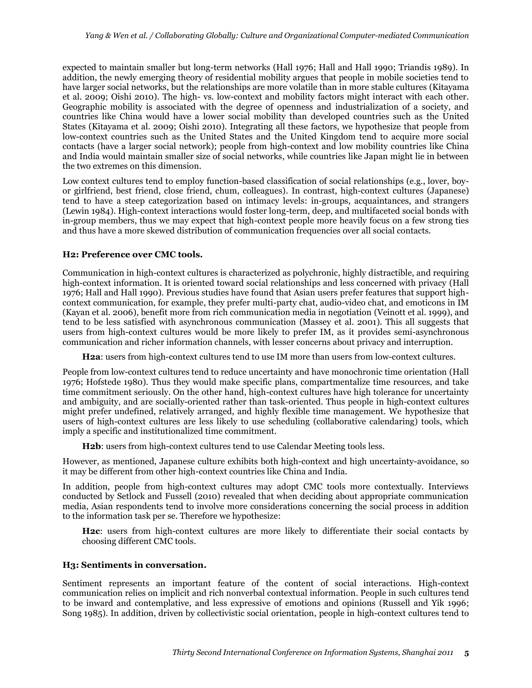expected to maintain smaller but long-term networks [\(Hall 1976;](#page-17-15) [Hall and Hall 1990;](#page-17-16) [Triandis 1989\)](#page-18-11). In addition, the newly emerging theory of residential mobility argues that people in mobile societies tend to have larger social networks, but the relationships are more volatile than in more stable cultures [\(Kitayama](#page-17-9)  [et al. 2009;](#page-17-9) [Oishi 2010\)](#page-18-16). The high- vs. low-context and mobility factors might interact with each other. Geographic mobility is associated with the degree of openness and industrialization of a society, and countries like China would have a lower social mobility than developed countries such as the United States [\(Kitayama et al. 2009;](#page-17-9) [Oishi 2010\)](#page-18-16). Integrating all these factors, we hypothesize that people from low-context countries such as the United States and the United Kingdom tend to acquire more social contacts (have a larger social network); people from high-context and low mobility countries like China and India would maintain smaller size of social networks, while countries like Japan might lie in between the two extremes on this dimension.

Low context cultures tend to employ function-based classification of social relationships (e.g., lover, boyor girlfriend, best friend, close friend, chum, colleagues). In contrast, high-context cultures (Japanese) tend to have a steep categorization based on intimacy levels: in-groups, acquaintances, and strangers [\(Lewin 1984\)](#page-17-22). High-context interactions would foster long-term, deep, and multifaceted social bonds with in-group members, thus we may expect that high-context people more heavily focus on a few strong ties and thus have a more skewed distribution of communication frequencies over all social contacts.

#### **H2: Preference over CMC tools.**

Communication in high-context cultures is characterized as polychronic, highly distractible, and requiring high-context information. It is oriented toward social relationships and less concerned with privacy [\(Hall](#page-17-15)  [1976;](#page-17-15) [Hall and Hall 1990\)](#page-17-16). Previous studies have found that Asian users prefer features that support highcontext communication, for example, they prefer multi-party chat, audio-video chat, and emoticons in IM [\(Kayan et al. 2006\)](#page-17-20), benefit more from rich communication media in negotiation [\(Veinott et al. 1999\)](#page-18-12), and tend to be less satisfied with asynchronous communication [\(Massey et al. 2001\)](#page-17-21). This all suggests that users from high-context cultures would be more likely to prefer IM, as it provides semi-asynchronous communication and richer information channels, with lesser concerns about privacy and interruption.

**H2a**: users from high-context cultures tend to use IM more than users from low-context cultures.

People from low-context cultures tend to reduce uncertainty and have monochronic time orientation [\(Hall](#page-17-15)  [1976;](#page-17-15) [Hofstede 1980\)](#page-17-3). Thus they would make specific plans, compartmentalize time resources, and take time commitment seriously. On the other hand, high-context cultures have high tolerance for uncertainty and ambiguity, and are socially-oriented rather than task-oriented. Thus people in high-context cultures might prefer undefined, relatively arranged, and highly flexible time management. We hypothesize that users of high-context cultures are less likely to use scheduling (collaborative calendaring) tools, which imply a specific and institutionalized time commitment.

**H2b**: users from high-context cultures tend to use Calendar Meeting tools less.

However, as mentioned, Japanese culture exhibits both high-context and high uncertainty-avoidance, so it may be different from other high-context countries like China and India.

In addition, people from high-context cultures may adopt CMC tools more contextually. Interviews conducted by Setlock and Fussell (2010) revealed that when deciding about appropriate communication media, Asian respondents tend to involve more considerations concerning the social process in addition to the information task per se. Therefore we hypothesize:

**H2c**: users from high-context cultures are more likely to differentiate their social contacts by choosing different CMC tools.

#### **H3: Sentiments in conversation.**

Sentiment represents an important feature of the content of social interactions. High-context communication relies on implicit and rich nonverbal contextual information. People in such cultures tend to be inward and contemplative, and less expressive of emotions and opinions [\(Russell and Yik 1996;](#page-18-17) [Song 1985\)](#page-18-18). In addition, driven by collectivistic social orientation, people in high-context cultures tend to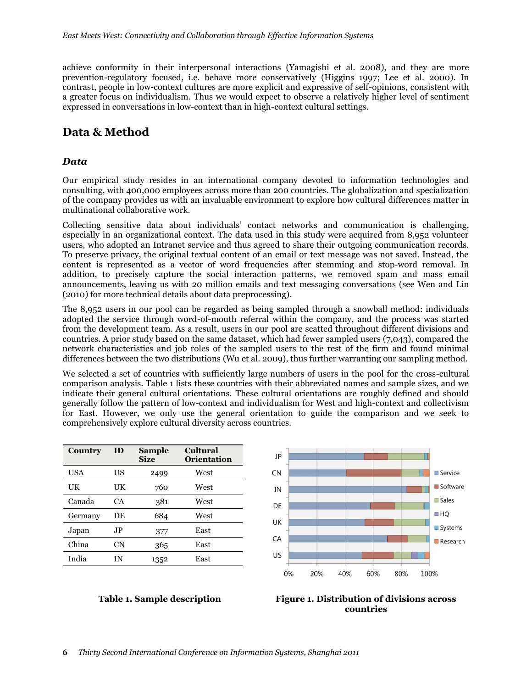achieve conformity in their interpersonal interactions [\(Yamagishi et al. 2008\)](#page-18-19), and they are more prevention-regulatory focused, i.e. behave more conservatively [\(Higgins 1997;](#page-17-23) [Lee et al. 2000\)](#page-17-24). In contrast, people in low-context cultures are more explicit and expressive of self-opinions, consistent with a greater focus on individualism. Thus we would expect to observe a relatively higher level of sentiment expressed in conversations in low-context than in high-context cultural settings.

## **Data & Method**

#### *Data*

Our empirical study resides in an international company devoted to information technologies and consulting, with 400,000 employees across more than 200 countries. The globalization and specialization of the company provides us with an invaluable environment to explore how cultural differences matter in multinational collaborative work.

Collecting sensitive data about individuals' contact networks and communication is challenging, especially in an organizational context. The data used in this study were acquired from 8,952 volunteer users, who adopted an Intranet service and thus agreed to share their outgoing communication records. To preserve privacy, the original textual content of an email or text message was not saved. Instead, the content is represented as a vector of word frequencies after stemming and stop-word removal. In addition, to precisely capture the social interaction patterns, we removed spam and mass email announcements, leaving us with 20 million emails and text messaging conversations (see [Wen and Lin](#page-18-20)  [\(2010\)](#page-18-20) for more technical details about data preprocessing).

The 8,952 users in our pool can be regarded as being sampled through a snowball method: individuals adopted the service through word-of-mouth referral within the company, and the process was started from the development team. As a result, users in our pool are scatted throughout different divisions and countries. A prior study based on the same dataset, which had fewer sampled users (7,043), compared the network characteristics and job roles of the sampled users to the rest of the firm and found minimal differences between the two distributions [\(Wu et al. 2009\)](#page-18-21), thus further warranting our sampling method.

We selected a set of countries with sufficiently large numbers of users in the pool for the cross-cultural comparison analysis. Table 1 lists these countries with their abbreviated names and sample sizes, and we indicate their general cultural orientations. These cultural orientations are roughly defined and should generally follow the pattern of low-context and individualism for West and high-context and collectivism for East. However, we only use the general orientation to guide the comparison and we seek to comprehensively explore cultural diversity across countries.

> JP  $\overline{C}N$

| Country | ID  | <b>Sample</b><br><b>Size</b> | <b>Cultural</b><br>Orientation |  |
|---------|-----|------------------------------|--------------------------------|--|
| USA     | US  | 2499                         | West                           |  |
| UK      | UК  | 760                          | West                           |  |
| Canada  | CА  | 381                          | West                           |  |
| Germany | DE  | 684                          | West                           |  |
| Japan   | JP. | 377                          | East                           |  |
| China   | CΝ  | 365                          | East                           |  |
| India   | ΙN  | 1352                         | East                           |  |



**Service** 

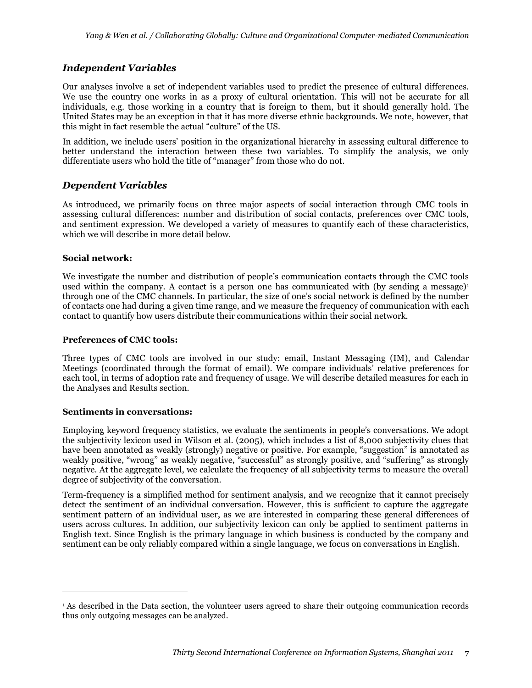### *Independent Variables*

Our analyses involve a set of independent variables used to predict the presence of cultural differences. We use the country one works in as a proxy of cultural orientation. This will not be accurate for all individuals, e.g. those working in a country that is foreign to them, but it should generally hold. The United States may be an exception in that it has more diverse ethnic backgrounds. We note, however, that this might in fact resemble the actual "culture" of the US.

In addition, we include users' position in the organizational hierarchy in assessing cultural difference to better understand the interaction between these two variables. To simplify the analysis, we only differentiate users who hold the title of "manager" from those who do not.

#### *Dependent Variables*

As introduced, we primarily focus on three major aspects of social interaction through CMC tools in assessing cultural differences: number and distribution of social contacts, preferences over CMC tools, and sentiment expression. We developed a variety of measures to quantify each of these characteristics, which we will describe in more detail below.

#### **Social network:**

We investigate the number and distribution of people's communication contacts through the CMC tools used within the company. A contact is a person one has communicated with (by sending a message)<sup>1</sup> through one of the CMC channels. In particular, the size of one's social network is defined by the number of contacts one had during a given time range, and we measure the frequency of communication with each contact to quantify how users distribute their communications within their social network.

#### **Preferences of CMC tools:**

Three types of CMC tools are involved in our study: email, Instant Messaging (IM), and Calendar Meetings (coordinated through the format of email). We compare individuals' relative preferences for each tool, in terms of adoption rate and frequency of usage. We will describe detailed measures for each in the Analyses and Results section.

#### **Sentiments in conversations:**

 $\overline{a}$ 

Employing keyword frequency statistics, we evaluate the sentiments in people's conversations. We adopt the subjectivity lexicon used in [Wilson et al. \(2005\)](#page-18-22), which includes a list of 8,000 subjectivity clues that have been annotated as weakly (strongly) negative or positive. For example, "suggestion" is annotated as weakly positive, "wrong" as weakly negative, "successful" as strongly positive, and "suffering" as strongly negative. At the aggregate level, we calculate the frequency of all subjectivity terms to measure the overall degree of subjectivity of the conversation.

Term-frequency is a simplified method for sentiment analysis, and we recognize that it cannot precisely detect the sentiment of an individual conversation. However, this is sufficient to capture the aggregate sentiment pattern of an individual user, as we are interested in comparing these general differences of users across cultures. In addition, our subjectivity lexicon can only be applied to sentiment patterns in English text. Since English is the primary language in which business is conducted by the company and sentiment can be only reliably compared within a single language, we focus on conversations in English.

<sup>1</sup> As described in the Data section, the volunteer users agreed to share their outgoing communication records thus only outgoing messages can be analyzed.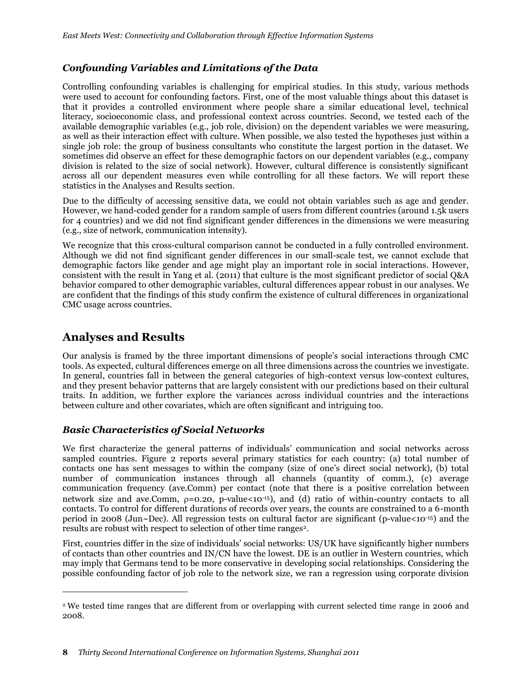## *Confounding Variables and Limitations of the Data*

Controlling confounding variables is challenging for empirical studies. In this study, various methods were used to account for confounding factors. First, one of the most valuable things about this dataset is that it provides a controlled environment where people share a similar educational level, technical literacy, socioeconomic class, and professional context across countries. Second, we tested each of the available demographic variables (e.g., job role, division) on the dependent variables we were measuring, as well as their interaction effect with culture. When possible, we also tested the hypotheses just within a single job role: the group of business consultants who constitute the largest portion in the dataset. We sometimes did observe an effect for these demographic factors on our dependent variables (e.g., company division is related to the size of social network). However, cultural difference is consistently significant across all our dependent measures even while controlling for all these factors. We will report these statistics in the Analyses and Results section.

Due to the difficulty of accessing sensitive data, we could not obtain variables such as age and gender. However, we hand-coded gender for a random sample of users from different countries (around 1.5k users for 4 countries) and we did not find significant gender differences in the dimensions we were measuring (e.g., size of network, communication intensity).

We recognize that this cross-cultural comparison cannot be conducted in a fully controlled environment. Although we did not find significant gender differences in our small-scale test, we cannot exclude that demographic factors like gender and age might play an important role in social interactions. However, consistent with the result in [Yang et al. \(2011\)](#page-19-2) that culture is the most significant predictor of social Q&A behavior compared to other demographic variables, cultural differences appear robust in our analyses. We are confident that the findings of this study confirm the existence of cultural differences in organizational CMC usage across countries.

## **Analyses and Results**

 $\overline{a}$ 

Our analysis is framed by the three important dimensions of people's social interactions through CMC tools. As expected, cultural differences emerge on all three dimensions across the countries we investigate. In general, countries fall in between the general categories of high-context versus low-context cultures, and they present behavior patterns that are largely consistent with our predictions based on their cultural traits. In addition, we further explore the variances across individual countries and the interactions between culture and other covariates, which are often significant and intriguing too.

## *Basic Characteristics of Social Networks*

We first characterize the general patterns of individuals' communication and social networks across sampled countries. Figure 2 reports several primary statistics for each country: (a) total number of contacts one has sent messages to within the company (size of one's direct social network), (b) total number of communication instances through all channels (quantity of comm.), (c) average communication frequency (ave.Comm) per contact (note that there is a positive correlation between network size and ave.Comm,  $p=0.20$ , p-value $<10^{-15}$ ), and (d) ratio of within-country contacts to all contacts. To control for different durations of records over years, the counts are constrained to a 6-month period in 2008 (Jun~Dec). All regression tests on cultural factor are significant (p-value<10-15) and the results are robust with respect to selection of other time ranges2.

First, countries differ in the size of individuals' social networks: US/UK have significantly higher numbers of contacts than other countries and IN/CN have the lowest. DE is an outlier in Western countries, which may imply that Germans tend to be more conservative in developing social relationships. Considering the possible confounding factor of job role to the network size, we ran a regression using corporate division

<sup>2</sup> We tested time ranges that are different from or overlapping with current selected time range in 2006 and 2008.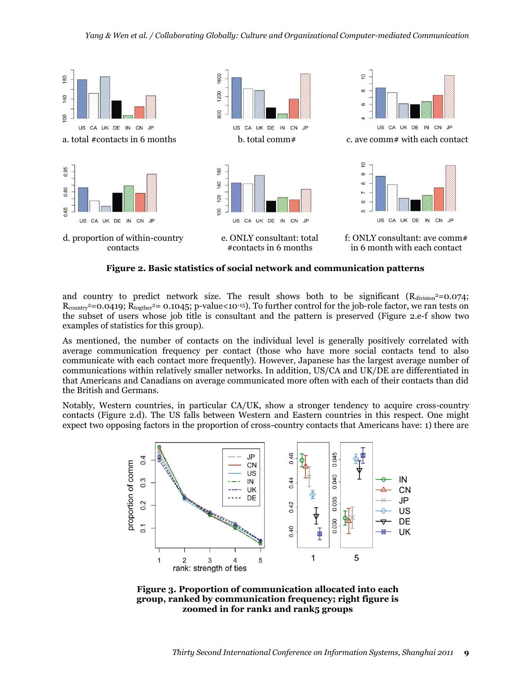

**Figure 2. Basic statistics of social network and communication patterns**

and country to predict network size. The result shows both to be significant (Rdivision<sup>2</sup>=0.074;  $R_{\text{country}}^2$ =0.0419;  $R_{\text{toother}}^2$ = 0.1045; p-value<10<sup>-15</sup>). To further control for the job-role factor, we ran tests on the subset of users whose job title is consultant and the pattern is preserved (Figure 2.e-f show two examples of statistics for this group).

As mentioned, the number of contacts on the individual level is generally positively correlated with average communication frequency per contact (those who have more social contacts tend to also communicate with each contact more frequently). However, Japanese has the largest average number of communications within relatively smaller networks. In addition, US/CA and UK/DE are differentiated in that Americans and Canadians on average communicated more often with each of their contacts than did the British and Germans.

Notably, Western countries, in particular CA/UK, show a stronger tendency to acquire cross-country contacts (Figure 2.d). The US falls between Western and Eastern countries in this respect. One might expect two opposing factors in the proportion of cross-country contacts that Americans have: 1) there are



**Figure 3. Proportion of communication allocated into each group, ranked by communication frequency; right figure is zoomed in for rank1 and rank5 groups**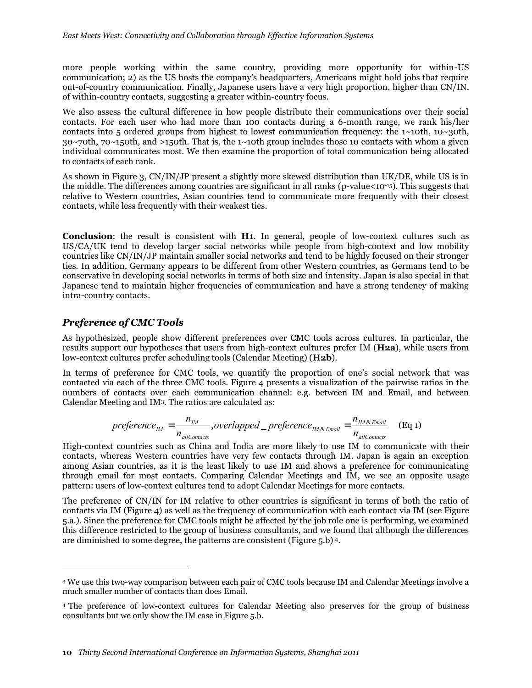more people working within the same country, providing more opportunity for within-US communication; 2) as the US hosts the company's headquarters, Americans might hold jobs that require out-of-country communication. Finally, Japanese users have a very high proportion, higher than CN/IN, of within-country contacts, suggesting a greater within-country focus.

We also assess the cultural difference in how people distribute their communications over their social contacts. For each user who had more than 100 contacts during a 6-month range, we rank his/her contacts into 5 ordered groups from highest to lowest communication frequency: the  $1~10~10~10~10$  $30~70$ th, 70~150th, and >150th. That is, the 1~10th group includes those 10 contacts with whom a given individual communicates most. We then examine the proportion of total communication being allocated to contacts of each rank.

As shown in Figure 3, CN/IN/JP present a slightly more skewed distribution than UK/DE, while US is in the middle. The differences among countries are significant in all ranks (p-value<10-15). This suggests that relative to Western countries, Asian countries tend to communicate more frequently with their closest contacts, while less frequently with their weakest ties.

**Conclusion**: the result is consistent with **H1**. In general, people of low-context cultures such as US/CA/UK tend to develop larger social networks while people from high-context and low mobility countries like CN/IN/JP maintain smaller social networks and tend to be highly focused on their stronger ties. In addition, Germany appears to be different from other Western countries, as Germans tend to be conservative in developing social networks in terms of both size and intensity. Japan is also special in that Japanese tend to maintain higher frequencies of communication and have a strong tendency of making intra-country contacts.

#### *Preference of CMC Tools*

 $\overline{a}$ 

As hypothesized, people show different preferences over CMC tools across cultures. In particular, the results support our hypotheses that users from high-context cultures prefer IM (**H2a**), while users from low-context cultures prefer scheduling tools (Calendar Meeting) (**H2b**).

In terms of preference for CMC tools, we quantify the proportion of one's social network that was contacted via each of the three CMC tools. Figure 4 presents a visualization of the pairwise ratios in the numbers of contacts over each communication channel: e.g. between IM and Email, and between Calendar Meeting and IM3. The ratios are calculated as:

$$
preference_{IM} = \frac{n_{IM}}{n_{allContents}}, overlapped\_preference_{IM \& Email} = \frac{n_{IM \& Email}}{n_{allContents}}
$$
 (Eq 1)

High-context countries such as China and India are more likely to use IM to communicate with their contacts, whereas Western countries have very few contacts through IM. Japan is again an exception among Asian countries, as it is the least likely to use IM and shows a preference for communicating through email for most contacts. Comparing Calendar Meetings and IM, we see an opposite usage pattern: users of low-context cultures tend to adopt Calendar Meetings for more contacts.

The preference of CN/IN for IM relative to other countries is significant in terms of both the ratio of contacts via IM (Figure 4) as well as the frequency of communication with each contact via IM (see Figure 5.a.). Since the preference for CMC tools might be affected by the job role one is performing, we examined this difference restricted to the group of business consultants, and we found that although the differences are diminished to some degree, the patterns are consistent (Figure 5.b) <sup>4</sup>.

<sup>3</sup> We use this two-way comparison between each pair of CMC tools because IM and Calendar Meetings involve a much smaller number of contacts than does Email.

<sup>4</sup> The preference of low-context cultures for Calendar Meeting also preserves for the group of business consultants but we only show the IM case in Figure 5.b.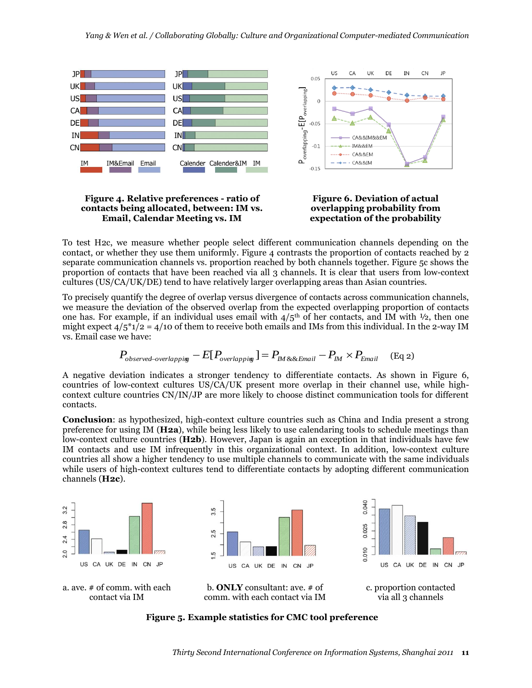

#### **Figure 4. Relative preferences - ratio of contacts being allocated, between: IM vs. Email, Calendar Meeting vs. IM**



To test H2c, we measure whether people select different communication channels depending on the contact, or whether they use them uniformly. Figure 4 contrasts the proportion of contacts reached by 2 separate communication channels vs. proportion reached by both channels together. Figure 5c shows the proportion of contacts that have been reached via all 3 channels. It is clear that users from low-context cultures (US/CA/UK/DE) tend to have relatively larger overlapping areas than Asian countries.

To precisely quantify the degree of overlap versus divergence of contacts across communication channels, we measure the deviation of the observed overlap from the expected overlapping proportion of contacts one has. For example, if an individual uses email with  $4/5<sup>th</sup>$  of her contacts, and IM with  $\frac{1}{2}$ , then one might expect  $4/5$ \*1/2 =  $4/10$  of them to receive both emails and IMs from this individual. In the 2-way IM vs. Email case we have:

$$
P_{observed-overlapping} - E[P_{overlapping}] = P_{IM \& \& Email} - P_{IM} \times P_{Email}
$$
 (Eq 2)

A negative deviation indicates a stronger tendency to differentiate contacts. As shown in Figure 6, countries of low-context cultures US/CA/UK present more overlap in their channel use, while highcontext culture countries CN/IN/JP are more likely to choose distinct communication tools for different contacts.

**Conclusion**: as hypothesized, high-context culture countries such as China and India present a strong preference for using IM (**H2a**), while being less likely to use calendaring tools to schedule meetings than low-context culture countries (**H2b**). However, Japan is again an exception in that individuals have few IM contacts and use IM infrequently in this organizational context. In addition, low-context culture countries all show a higher tendency to use multiple channels to communicate with the same individuals while users of high-context cultures tend to differentiate contacts by adopting different communication channels (**H2c**).



**Figure 5. Example statistics for CMC tool preference**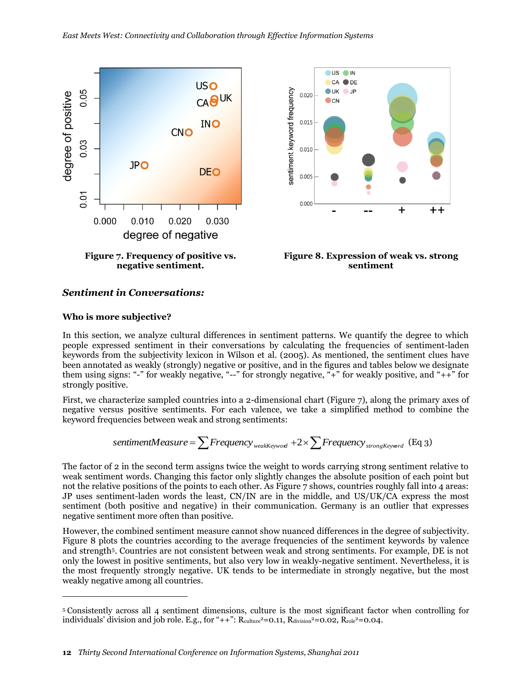



**Figure 8. Expression of weak vs. strong sentiment**

#### *Sentiment in Conversations:*

#### **Who is more subjective?**

 $\overline{a}$ 

In this section, we analyze cultural differences in sentiment patterns. We quantify the degree to which people expressed sentiment in their conversations by calculating the frequencies of sentiment-laden keywords from the subjectivity lexicon in [Wilson et al. \(2005\)](#page-18-22). As mentioned, the sentiment clues have been annotated as weakly (strongly) negative or positive, and in the figures and tables below we designate them using signs: "-" for weakly negative, "--" for strongly negative, " $+$ " for weakly positive, and " $+$ +" for strongly positive.

First, we characterize sampled countries into a 2-dimensional chart (Figure 7), along the primary axes of negative versus positive sentiments. For each valence, we take a simplified method to combine the keyword frequencies between weak and strong sentiments:

$$
sentimentMeasure = \sum Frequency_{weakKeywords} + 2 \times \sum Frequency_{strongKeywords} (Eq 3)
$$

The factor of 2 in the second term assigns twice the weight to words carrying strong sentiment relative to weak sentiment words. Changing this factor only slightly changes the absolute position of each point but not the relative positions of the points to each other. As Figure 7 shows, countries roughly fall into 4 areas: JP uses sentiment-laden words the least, CN/IN are in the middle, and US/UK/CA express the most sentiment (both positive and negative) in their communication. Germany is an outlier that expresses negative sentiment more often than positive.

However, the combined sentiment measure cannot show nuanced differences in the degree of subjectivity. Figure 8 plots the countries according to the average frequencies of the sentiment keywords by valence and strength5. Countries are not consistent between weak and strong sentiments. For example, DE is not only the lowest in positive sentiments, but also very low in weakly-negative sentiment. Nevertheless, it is the most frequently strongly negative. UK tends to be intermediate in strongly negative, but the most weakly negative among all countries.

<sup>5</sup> Consistently across all 4 sentiment dimensions, culture is the most significant factor when controlling for individuals' division and job role. E.g., for "++":  $R_{\text{culture}}^2=0.11$ ,  $R_{\text{division}}^2=0.02$ ,  $R_{\text{role}}^2=0.04$ .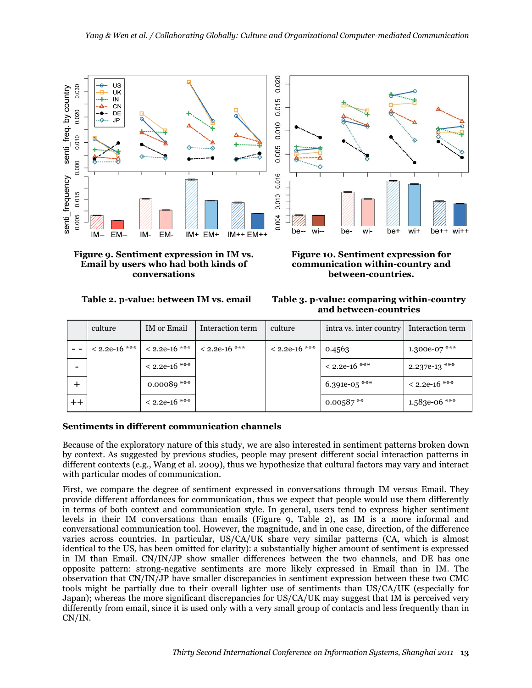

**Figure 9. Sentiment expression in IM vs. Email by users who had both kinds of conversations**

**Figure 10. Sentiment expression for communication within-country and between-countries.**

**Table 2. p-value: between IM vs. email Table 3. p-value: comparing within-country and between-countries**

|      | culture         | IM or Email            | Interaction term | culture         | intra vs. inter country | Interaction term |
|------|-----------------|------------------------|------------------|-----------------|-------------------------|------------------|
| - -  | $< 2.2e-16$ *** | $< 2.2e-16$ ***        | $< 2.2e-16$ ***  | $< 2.2e-16$ *** | 0.4563                  | 1.300e-07 ***    |
|      |                 | $<$ 2.2e-16 ***        |                  |                 | $< 2.2e-16$ ***         | $2.237e-13$ ***  |
|      |                 | 0.00089 $\mathrm{***}$ |                  |                 | 6.391e-05 ***           | $< 2.2e-16$ ***  |
| $++$ |                 | $<$ 2.2e-16 $***$      |                  |                 | $0.00587**$             | 1.583e-06 ***    |

### **Sentiments in different communication channels**

Because of the exploratory nature of this study, we are also interested in sentiment patterns broken down by context. As suggested by previous studies, people may present different social interaction patterns in different contexts (e.g., [Wang et al. 2009\)](#page-18-23), thus we hypothesize that cultural factors may vary and interact with particular modes of communication.

First, we compare the degree of sentiment expressed in conversations through IM versus Email. They provide different affordances for communication, thus we expect that people would use them differently in terms of both context and communication style. In general, users tend to express higher sentiment levels in their IM conversations than emails (Figure 9, Table 2), as IM is a more informal and conversational communication tool. However, the magnitude, and in one case, direction, of the difference varies across countries. In particular, US/CA/UK share very similar patterns (CA, which is almost identical to the US, has been omitted for clarity): a substantially higher amount of sentiment is expressed in IM than Email. CN/IN/JP show smaller differences between the two channels, and DE has one opposite pattern: strong-negative sentiments are more likely expressed in Email than in IM. The observation that CN/IN/JP have smaller discrepancies in sentiment expression between these two CMC tools might be partially due to their overall lighter use of sentiments than US/CA/UK (especially for Japan); whereas the more significant discrepancies for US/CA/UK may suggest that IM is perceived very differently from email, since it is used only with a very small group of contacts and less frequently than in CN/IN.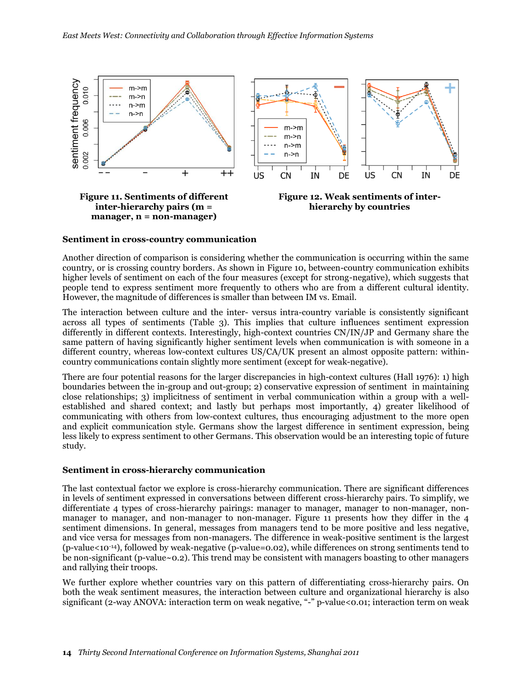

#### **Sentiment in cross-country communication**

Another direction of comparison is considering whether the communication is occurring within the same country, or is crossing country borders. As shown in Figure 10, between-country communication exhibits higher levels of sentiment on each of the four measures (except for strong-negative), which suggests that people tend to express sentiment more frequently to others who are from a different cultural identity. However, the magnitude of differences is smaller than between IM vs. Email.

The interaction between culture and the inter- versus intra-country variable is consistently significant across all types of sentiments (Table 3). This implies that culture influences sentiment expression differently in different contexts. Interestingly, high-context countries CN/IN/JP and Germany share the same pattern of having significantly higher sentiment levels when communication is with someone in a different country, whereas low-context cultures US/CA/UK present an almost opposite pattern: withincountry communications contain slightly more sentiment (except for weak-negative).

There are four potential reasons for the larger discrepancies in high-context cultures [\(Hall 1976\)](#page-17-15): 1) high boundaries between the in-group and out-group; 2) conservative expression of sentiment in maintaining close relationships; 3) implicitness of sentiment in verbal communication within a group with a wellestablished and shared context; and lastly but perhaps most importantly, 4) greater likelihood of communicating with others from low-context cultures, thus encouraging adjustment to the more open and explicit communication style. Germans show the largest difference in sentiment expression, being less likely to express sentiment to other Germans. This observation would be an interesting topic of future study.

#### **Sentiment in cross-hierarchy communication**

The last contextual factor we explore is cross-hierarchy communication. There are significant differences in levels of sentiment expressed in conversations between different cross-hierarchy pairs. To simplify, we differentiate 4 types of cross-hierarchy pairings: manager to manager, manager to non-manager, nonmanager to manager, and non-manager to non-manager. Figure 11 presents how they differ in the 4 sentiment dimensions. In general, messages from managers tend to be more positive and less negative, and vice versa for messages from non-managers. The difference in weak-positive sentiment is the largest (p-value<10-14), followed by weak-negative (p-value=0.02), while differences on strong sentiments tend to be non-significant (p-value~0.2). This trend may be consistent with managers boasting to other managers and rallying their troops.

We further explore whether countries vary on this pattern of differentiating cross-hierarchy pairs. On both the weak sentiment measures, the interaction between culture and organizational hierarchy is also significant (2-way ANOVA: interaction term on weak negative, "-" p-value<0.01; interaction term on weak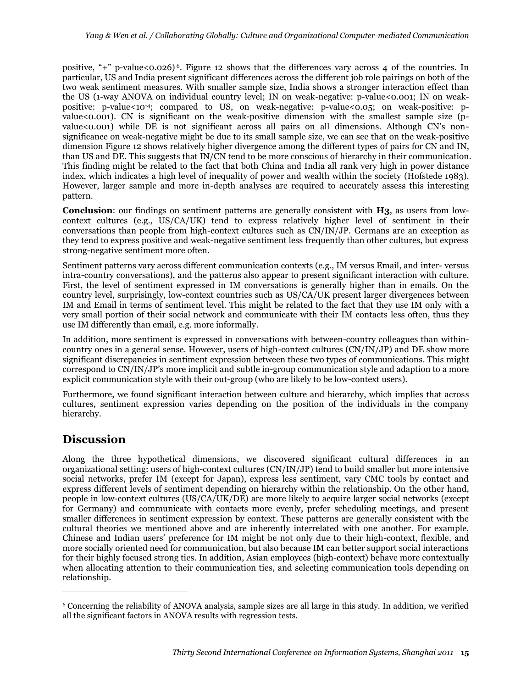positive, "+" p-value<0.026)<sup>6</sup>. Figure 12 shows that the differences vary across 4 of the countries. In particular, US and India present significant differences across the different job role pairings on both of the two weak sentiment measures. With smaller sample size, India shows a stronger interaction effect than the US (1-way ANOVA on individual country level; IN on weak-negative: p-value<0.001; IN on weakpositive: p-value<10-4; compared to US, on weak-negative: p-value<0.05; on weak-positive: pvalue<0.001). CN is significant on the weak-positive dimension with the smallest sample size (pvalue<0.001) while DE is not significant across all pairs on all dimensions. Although CN's nonsignificance on weak-negative might be due to its small sample size, we can see that on the weak-positive dimension Figure 12 shows relatively higher divergence among the different types of pairs for CN and IN, than US and DE. This suggests that IN/CN tend to be more conscious of hierarchy in their communication. This finding might be related to the fact that both China and India all rank very high in power distance index, which indicates a high level of inequality of power and wealth within the society [\(Hofstede 1983\)](#page-17-4). However, larger sample and more in-depth analyses are required to accurately assess this interesting pattern.

**Conclusion**: our findings on sentiment patterns are generally consistent with **H3**, as users from lowcontext cultures (e.g., US/CA/UK) tend to express relatively higher level of sentiment in their conversations than people from high-context cultures such as CN/IN/JP. Germans are an exception as they tend to express positive and weak-negative sentiment less frequently than other cultures, but express strong-negative sentiment more often.

Sentiment patterns vary across different communication contexts (e.g., IM versus Email, and inter- versus intra-country conversations), and the patterns also appear to present significant interaction with culture. First, the level of sentiment expressed in IM conversations is generally higher than in emails. On the country level, surprisingly, low-context countries such as US/CA/UK present larger divergences between IM and Email in terms of sentiment level. This might be related to the fact that they use IM only with a very small portion of their social network and communicate with their IM contacts less often, thus they use IM differently than email, e.g. more informally.

In addition, more sentiment is expressed in conversations with between-country colleagues than withincountry ones in a general sense. However, users of high-context cultures (CN/IN/JP) and DE show more significant discrepancies in sentiment expression between these two types of communications. This might correspond to CN/IN/JP's more implicit and subtle in-group communication style and adaption to a more explicit communication style with their out-group (who are likely to be low-context users).

Furthermore, we found significant interaction between culture and hierarchy, which implies that across cultures, sentiment expression varies depending on the position of the individuals in the company hierarchy.

## **Discussion**

 $\overline{a}$ 

Along the three hypothetical dimensions, we discovered significant cultural differences in an organizational setting: users of high-context cultures (CN/IN/JP) tend to build smaller but more intensive social networks, prefer IM (except for Japan), express less sentiment, vary CMC tools by contact and express different levels of sentiment depending on hierarchy within the relationship. On the other hand, people in low-context cultures (US/CA/UK/DE) are more likely to acquire larger social networks (except for Germany) and communicate with contacts more evenly, prefer scheduling meetings, and present smaller differences in sentiment expression by context. These patterns are generally consistent with the cultural theories we mentioned above and are inherently interrelated with one another. For example, Chinese and Indian users' preference for IM might be not only due to their high-context, flexible, and more socially oriented need for communication, but also because IM can better support social interactions for their highly focused strong ties. In addition, Asian employees (high-context) behave more contextually when allocating attention to their communication ties, and selecting communication tools depending on relationship.

<sup>6</sup> Concerning the reliability of ANOVA analysis, sample sizes are all large in this study. In addition, we verified all the significant factors in ANOVA results with regression tests.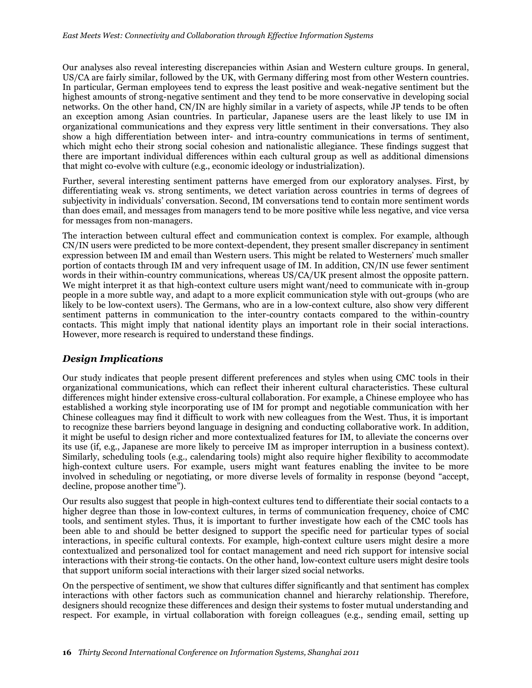Our analyses also reveal interesting discrepancies within Asian and Western culture groups. In general, US/CA are fairly similar, followed by the UK, with Germany differing most from other Western countries. In particular, German employees tend to express the least positive and weak-negative sentiment but the highest amounts of strong-negative sentiment and they tend to be more conservative in developing social networks. On the other hand, CN/IN are highly similar in a variety of aspects, while JP tends to be often an exception among Asian countries. In particular, Japanese users are the least likely to use IM in organizational communications and they express very little sentiment in their conversations. They also show a high differentiation between inter- and intra-country communications in terms of sentiment, which might echo their strong social cohesion and nationalistic allegiance. These findings suggest that there are important individual differences within each cultural group as well as additional dimensions that might co-evolve with culture (e.g., economic ideology or industrialization).

Further, several interesting sentiment patterns have emerged from our exploratory analyses. First, by differentiating weak vs. strong sentiments, we detect variation across countries in terms of degrees of subjectivity in individuals' conversation. Second, IM conversations tend to contain more sentiment words than does email, and messages from managers tend to be more positive while less negative, and vice versa for messages from non-managers.

The interaction between cultural effect and communication context is complex. For example, although CN/IN users were predicted to be more context-dependent, they present smaller discrepancy in sentiment expression between IM and email than Western users. This might be related to Westerners' much smaller portion of contacts through IM and very infrequent usage of IM. In addition, CN/IN use fewer sentiment words in their within-country communications, whereas US/CA/UK present almost the opposite pattern. We might interpret it as that high-context culture users might want/need to communicate with in-group people in a more subtle way, and adapt to a more explicit communication style with out-groups (who are likely to be low-context users). The Germans, who are in a low-context culture, also show very different sentiment patterns in communication to the inter-country contacts compared to the within-country contacts. This might imply that national identity plays an important role in their social interactions. However, more research is required to understand these findings.

### *Design Implications*

Our study indicates that people present different preferences and styles when using CMC tools in their organizational communications, which can reflect their inherent cultural characteristics. These cultural differences might hinder extensive cross-cultural collaboration. For example, a Chinese employee who has established a working style incorporating use of IM for prompt and negotiable communication with her Chinese colleagues may find it difficult to work with new colleagues from the West. Thus, it is important to recognize these barriers beyond language in designing and conducting collaborative work. In addition, it might be useful to design richer and more contextualized features for IM, to alleviate the concerns over its use (if, e.g., Japanese are more likely to perceive IM as improper interruption in a business context). Similarly, scheduling tools (e.g., calendaring tools) might also require higher flexibility to accommodate high-context culture users. For example, users might want features enabling the invitee to be more involved in scheduling or negotiating, or more diverse levels of formality in response (beyond "accept, decline, propose another time").

Our results also suggest that people in high-context cultures tend to differentiate their social contacts to a higher degree than those in low-context cultures, in terms of communication frequency, choice of CMC tools, and sentiment styles. Thus, it is important to further investigate how each of the CMC tools has been able to and should be better designed to support the specific need for particular types of social interactions, in specific cultural contexts. For example, high-context culture users might desire a more contextualized and personalized tool for contact management and need rich support for intensive social interactions with their strong-tie contacts. On the other hand, low-context culture users might desire tools that support uniform social interactions with their larger sized social networks.

On the perspective of sentiment, we show that cultures differ significantly and that sentiment has complex interactions with other factors such as communication channel and hierarchy relationship. Therefore, designers should recognize these differences and design their systems to foster mutual understanding and respect. For example, in virtual collaboration with foreign colleagues (e.g., sending email, setting up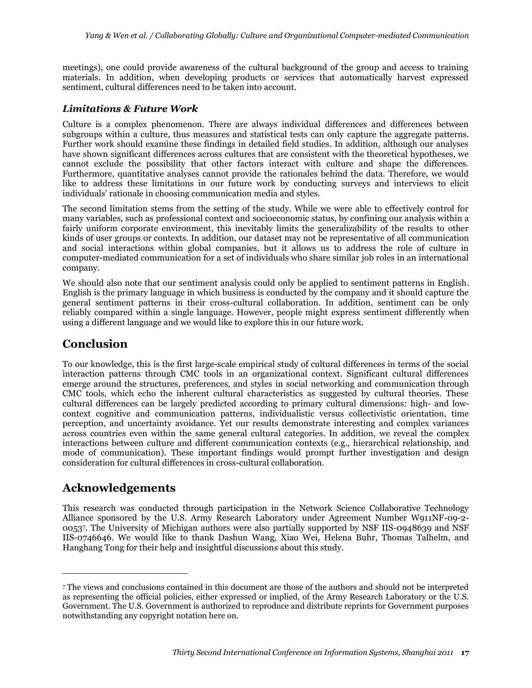meetings), one could provide awareness of the cultural background of the group and access to training materials. In addition, when developing products or services that automatically harvest expressed sentiment, cultural differences need to be taken into account.

## *Limitations & Future Work*

Culture is a complex phenomenon. There are always individual differences and differences between subgroups within a culture, thus measures and statistical tests can only capture the aggregate patterns. Further work should examine these findings in detailed field studies. In addition, although our analyses have shown significant differences across cultures that are consistent with the theoretical hypotheses, we cannot exclude the possibility that other factors interact with culture and shape the differences. Furthermore, quantitative analyses cannot provide the rationales behind the data. Therefore, we would like to address these limitations in our future work by conducting surveys and interviews to elicit individuals' rationale in choosing communication media and styles.

The second limitation stems from the setting of the study. While we were able to effectively control for many variables, such as professional context and socioeconomic status, by confining our analysis within a fairly uniform corporate environment, this inevitably limits the generalizability of the results to other kinds of user groups or contexts. In addition, our dataset may not be representative of all communication and social interactions within global companies, but it allows us to address the role of culture in computer-mediated communication for a set of individuals who share similar job roles in an international company.

We should also note that our sentiment analysis could only be applied to sentiment patterns in English. English is the primary language in which business is conducted by the company and it should capture the general sentiment patterns in their cross-cultural collaboration. In addition, sentiment can be only reliably compared within a single language. However, people might express sentiment differently when using a different language and we would like to explore this in our future work.

## **Conclusion**

To our knowledge, this is the first large-scale empirical study of cultural differences in terms of the social interaction patterns through CMC tools in an organizational context. Significant cultural differences emerge around the structures, preferences, and styles in social networking and communication through CMC tools, which echo the inherent cultural characteristics as suggested by cultural theories. These cultural differences can be largely predicted according to primary cultural dimensions: high- and lowcontext cognitive and communication patterns, individualistic versus collectivistic orientation, time perception, and uncertainty avoidance. Yet our results demonstrate interesting and complex variances across countries even within the same general cultural categories. In addition, we reveal the complex interactions between culture and different communication contexts (e.g., hierarchical relationship, and mode of communication). These important findings would prompt further investigation and design consideration for cultural differences in cross-cultural collaboration.

## **Acknowledgements**

 $\overline{a}$ 

This research was conducted through participation in the Network Science Collaborative Technology Alliance sponsored by the U.S. Army Research Laboratory under Agreement Number W911NF-09-2- 0053<sup>7</sup> . The University of Michigan authors were also partially supported by NSF IIS-0948639 and NSF IIS-0746646. We would like to thank Dashun Wang, Xiao Wei, Helena Buhr, Thomas Talhelm, and Hanghang Tong for their help and insightful discussions about this study.

<sup>7</sup> The views and conclusions contained in this document are those of the authors and should not be interpreted as representing the official policies, either expressed or implied, of the Army Research Laboratory or the U.S. Government. The U.S. Government is authorized to reproduce and distribute reprints for Government purposes notwithstanding any copyright notation here on.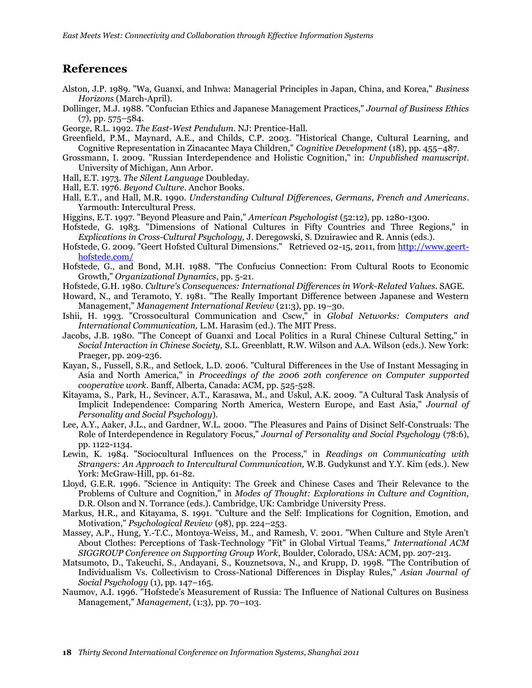## **References**

- <span id="page-17-13"></span>Alston, J.P. 1989. "Wa, Guanxi, and Inhwa: Managerial Principles in Japan, China, and Korea," *Business Horizons* (March-April).
- <span id="page-17-7"></span>Dollinger, M.J. 1988. "Confucian Ethics and Japanese Management Practices," *Journal of Business Ethics* (7), pp. 575–584.
- <span id="page-17-11"></span>George, R.L. 1992. *The East-West Pendulum*. NJ: Prentice-Hall.
- <span id="page-17-8"></span>Greenfield, P.M., Maynard, A.E., and Childs, C.P. 2003. "Historical Change, Cultural Learning, and Cognitive Representation in Zinacantec Maya Children," *Cognitive Development* (18), pp. 455–487.
- <span id="page-17-10"></span>Grossmann, I. 2009. "Russian Interdependence and Holistic Cognition," in: *Unpublished manuscript*. University of Michigan, Ann Arbor.
- <span id="page-17-18"></span>Hall, E.T. 1973. *The Silent Language* Doubleday.
- <span id="page-17-15"></span>Hall, E.T. 1976. *Beyond Culture*. Anchor Books.
- <span id="page-17-16"></span>Hall, E.T., and Hall, M.R. 1990. *Understanding Cultural Differences, Germans, French and Americans*. Yarmouth: Intercultural Press.
- <span id="page-17-23"></span>Higgins, E.T. 1997. "Beyond Pleasure and Pain," *American Psychologist* (52:12), pp. 1280-1300.
- <span id="page-17-4"></span>Hofstede, G. 1983. "Dimensions of National Cultures in Fifty Countries and Three Regions," in *Explications in Cross-Cultural Psychology,* J. Deregowski, S. Dzuirawiec and R. Annis (eds.).
- <span id="page-17-19"></span>Hofstede, G. 2009. "Geert Hofsted Cultural Dimensions." Retrieved 02-15, 2011, from [http://www.geert](http://www.geert-hofstede.com/)[hofstede.com/](http://www.geert-hofstede.com/)
- <span id="page-17-17"></span>Hofstede, G., and Bond, M.H. 1988. "The Confucius Connection: From Cultural Roots to Economic Growth," *Organizational Dynamics*, pp. 5-21.
- <span id="page-17-3"></span>Hofstede, G.H. 1980. *Culture's Consequences: International Differences in Work-Related Values*. SAGE.
- <span id="page-17-12"></span>Howard, N., and Teramoto, Y. 1981. "The Really Important Difference between Japanese and Western Management," *Management International Review* (21:3), pp. 19–30.
- <span id="page-17-0"></span>Ishii, H. 1993. "Cross0cultural Communication and Cscw," in *Global Networks: Computers and International Communication,* L.M. Harasim (ed.). The MIT Press.
- <span id="page-17-14"></span>Jacobs, J.B. 1980. "The Concept of Guanxi and Local Politics in a Rural Chinese Cultural Setting," in *Social Interaction in Chinese Society,* S.L. Greenblatt, R.W. Wilson and A.A. Wilson (eds.). New York: Praeger, pp. 209-236.
- <span id="page-17-20"></span>Kayan, S., Fussell, S.R., and Setlock, L.D. 2006. "Cultural Differences in the Use of Instant Messaging in Asia and North America," in *Proceedings of the 2006 20th conference on Computer supported cooperative work*. Banff, Alberta, Canada: ACM, pp. 525-528.
- <span id="page-17-9"></span>Kitayama, S., Park, H., Sevincer, A.T., Karasawa, M., and Uskul, A.K. 2009. "A Cultural Task Analysis of Implicit Independence: Comparing North America, Western Europe, and East Asia," *Journal of Personality and Social Psychology*).
- <span id="page-17-24"></span>Lee, A.Y., Aaker, J.L., and Gardner, W.L. 2000. "The Pleasures and Pains of Disinct Self-Construals: The Role of Interdependence in Regulatory Focus," *Journal of Personality and Social Psychology* (78:6), pp. 1122-1134.
- <span id="page-17-22"></span>Lewin, K. 1984. "Sociocultural Influences on the Process," in *Readings on Communicating with Strangers: An Approach to Intercultural Communication,* W.B. Gudykunst and Y.Y. Kim (eds.). New York: McGraw-Hill, pp. 61-82.
- <span id="page-17-6"></span>Lloyd, G.E.R. 1996. "Science in Antiquity: The Greek and Chinese Cases and Their Relevance to the Problems of Culture and Cognition," in *Modes of Thought: Explorations in Culture and Cognition,* D.R. Olson and N. Torrance (eds.). Cambridge, UK: Cambridge University Press.
- <span id="page-17-5"></span>Markus, H.R., and Kitayama, S. 1991. "Culture and the Self: Implications for Cognition, Emotion, and Motivation," *Psychological Review* (98), pp. 224–253.
- <span id="page-17-21"></span>Massey, A.P., Hung, Y.-T.C., Montoya-Weiss, M., and Ramesh, V. 2001. "When Culture and Style Aren't About Clothes: Perceptions of Task-Technology "Fit" in Global Virtual Teams," *International ACM SIGGROUP Conference on Supporting Group Work*, Boulder, Colorado, USA: ACM, pp. 207-213.
- <span id="page-17-1"></span>Matsumoto, D., Takeuchi, S., Andayani, S., Kouznetsova, N., and Krupp, D. 1998. "The Contribution of Individualism Vs. Collectivism to Cross-National Differences in Display Rules," *Asian Journal of Social Psychology* (1), pp. 147–165.
- <span id="page-17-2"></span>Naumov, A.I. 1996. "Hofstede's Measurement of Russia: The Influence of National Cultures on Business Management," *Management,* (1:3), pp. 70–103.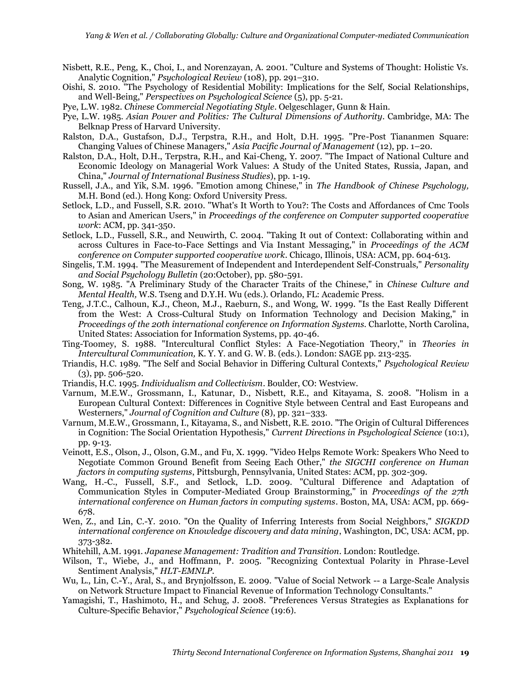- <span id="page-18-0"></span>Nisbett, R.E., Peng, K., Choi, I., and Norenzayan, A. 2001. "Culture and Systems of Thought: Holistic Vs. Analytic Cognition," *Psychological Review* (108), pp. 291–310.
- <span id="page-18-16"></span>Oishi, S. 2010. "The Psychology of Residential Mobility: Implications for the Self, Social Relationships, and Well-Being," *Perspectives on Psychological Science* (5), pp. 5-21.

<span id="page-18-9"></span>Pye, L.W. 1982. *Chinese Commercial Negotiating Style*. Oelgeschlager, Gunn & Hain.

- <span id="page-18-4"></span>Pye, L.W. 1985. *Asian Power and Politics: The Cultural Dimensions of Authority*. Cambridge, MA: The Belknap Press of Harvard University.
- <span id="page-18-8"></span>Ralston, D.A., Gustafson, D.J., Terpstra, R.H., and Holt, D.H. 1995. "Pre-Post Tiananmen Square: Changing Values of Chinese Managers," *Asia Pacific Journal of Management* (12), pp. 1–20.
- <span id="page-18-5"></span>Ralston, D.A., Holt, D.H., Terpstra, R.H., and Kai-Cheng, Y. 2007. "The Impact of National Culture and Economic Ideology on Managerial Work Values: A Study of the United States, Russia, Japan, and China," *Journal of International Business Studies*), pp. 1-19.
- <span id="page-18-17"></span>Russell, J.A., and Yik, S.M. 1996. "Emotion among Chinese," in *The Handbook of Chinese Psychology,* M.H. Bond (ed.). Hong Kong: Oxford University Press.
- <span id="page-18-15"></span>Setlock, L.D., and Fussell, S.R. 2010. "What's It Worth to You?: The Costs and Affordances of Cmc Tools to Asian and American Users," in *Proceedings of the conference on Computer supported cooperative work*: ACM, pp. 341-350.
- <span id="page-18-14"></span>Setlock, L.D., Fussell, S.R., and Neuwirth, C. 2004. "Taking It out of Context: Collaborating within and across Cultures in Face-to-Face Settings and Via Instant Messaging," in *Proceedings of the ACM conference on Computer supported cooperative work*. Chicago, Illinois, USA: ACM, pp. 604-613.
- <span id="page-18-2"></span>Singelis, T.M. 1994. "The Measurement of Independent and Interdependent Self-Construals," *Personality and Social Psychology Bulletin* (20:October), pp. 580-591.
- <span id="page-18-18"></span>Song, W. 1985. "A Preliminary Study of the Character Traits of the Chinese," in *Chinese Culture and Mental Health,* W.S. Tseng and D.Y.H. Wu (eds.). Orlando, FL: Academic Press.
- <span id="page-18-13"></span>Teng, J.T.C., Calhoun, K.J., Cheon, M.J., Raeburn, S., and Wong, W. 1999. "Is the East Really Different from the West: A Cross-Cultural Study on Information Technology and Decision Making," in *Proceedings of the 20th international conference on Information Systems*. Charlotte, North Carolina, United States: Association for Information Systems, pp. 40-46.
- <span id="page-18-10"></span>Ting-Toomey, S. 1988. "Intercultural Conflict Styles: A Face-Negotiation Theory," in *Theories in Intercultural Communication,* K. Y. Y. and G. W. B. (eds.). London: SAGE pp. 213-235.
- <span id="page-18-11"></span>Triandis, H.C. 1989. "The Self and Social Behavior in Differing Cultural Contexts," *Psychological Review*  $(3)$ , pp. 506-520.
- <span id="page-18-3"></span>Triandis, H.C. 1995. *Individualism and Collectivism*. Boulder, CO: Westview.
- <span id="page-18-6"></span>Varnum, M.E.W., Grossmann, I., Katunar, D., Nisbett, R.E., and Kitayama, S. 2008. "Holism in a European Cultural Context: Differences in Cognitive Style between Central and East Europeans and Westerners," *Journal of Cognition and Culture* (8), pp. 321–333.
- <span id="page-18-1"></span>Varnum, M.E.W., Grossmann, I., Kitayama, S., and Nisbett, R.E. 2010. "The Origin of Cultural Differences in Cognition: The Social Orientation Hypothesis," *Current Directions in Psychological Science* (10:1), pp. 9-13.
- <span id="page-18-12"></span>Veinott, E.S., Olson, J., Olson, G.M., and Fu, X. 1999. "Video Helps Remote Work: Speakers Who Need to Negotiate Common Ground Benefit from Seeing Each Other," *the SIGCHI conference on Human factors in computing systems*, Pittsburgh, Pennsylvania, United States: ACM, pp. 302-309.
- <span id="page-18-23"></span>Wang, H.-C., Fussell, S.F., and Setlock, L.D. 2009. "Cultural Difference and Adaptation of Communication Styles in Computer-Mediated Group Brainstorming," in *Proceedings of the 27th international conference on Human factors in computing systems*. Boston, MA, USA: ACM, pp. 669- 678.
- <span id="page-18-20"></span>Wen, Z., and Lin, C.-Y. 2010. "On the Quality of Inferring Interests from Social Neighbors," *SIGKDD international conference on Knowledge discovery and data mining*, Washington, DC, USA: ACM, pp. 373-382.
- <span id="page-18-7"></span>Whitehill, A.M. 1991. *Japanese Management: Tradition and Transition*. London: Routledge.
- <span id="page-18-22"></span>Wilson, T., Wiebe, J., and Hoffmann, P. 2005. "Recognizing Contextual Polarity in Phrase-Level Sentiment Analysis," *HLT-EMNLP*.
- <span id="page-18-21"></span>Wu, L., Lin, C.-Y., Aral, S., and Brynjolfsson, E. 2009. "Value of Social Network -- a Large-Scale Analysis on Network Structure Impact to Financial Revenue of Information Technology Consultants."
- <span id="page-18-19"></span>Yamagishi, T., Hashimoto, H., and Schug, J. 2008. "Preferences Versus Strategies as Explanations for Culture-Specific Behavior," *Psychological Science* (19:6).